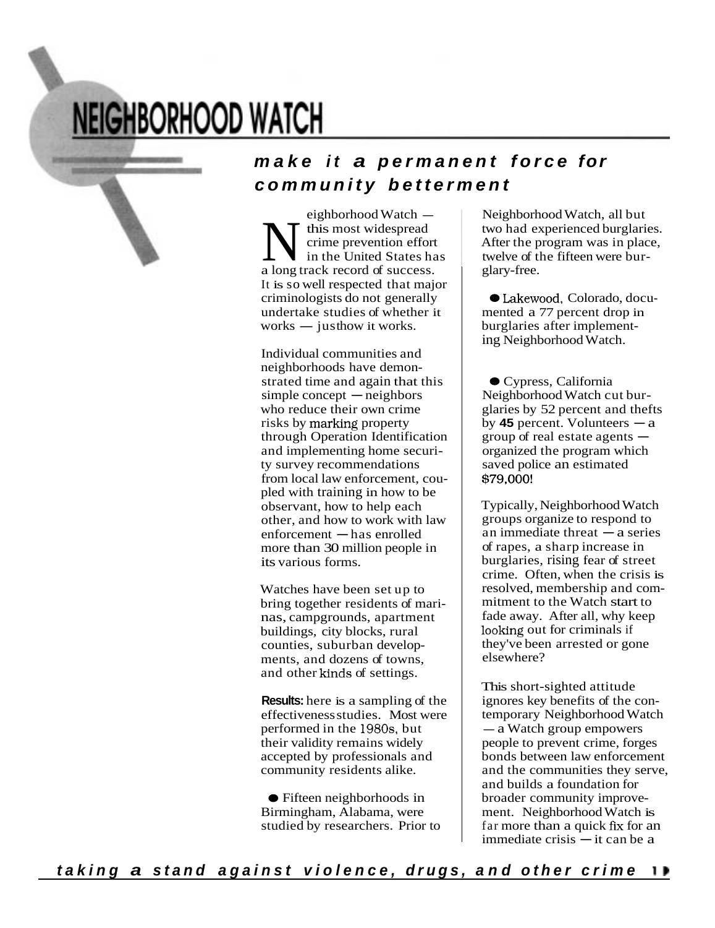# **NEIGHBORHOOD WATCH**

**End Minimum Division Company** 

### *make i t a permanent force for community betterment*

eighborhood Watch —<br>this most widespread Medicine most widespread<br>
in the United States has a long track record of success. It is so well respected that major criminologists do not generally<br>undertake studies of whether i<br>works — justhow it works. undertake studies of whether it

Individual communities and neighborhoods have demonneighborhoods have demon-<br>strated time and again that this<br>simple concept — neighbors who reduce their own crime risks by marking property through Operation Identification and implementing home security survey recommendations from local law enforcement, coupled with training in how to be observant, how to help each other, and how to work with law  $enforcement$ -has enrolled more than 30 million people in its various forms.

Watches have been set up to bring together residents of marinas, campgrounds, apartment buildings, city blocks, rural counties, suburban developments, and dozens of towns, and other kinds of settings.

**Results:** here is a sampling of the effectivenessstudies. Most were performed in the 1980s, but their validity remains widely accepted by professionals and community residents alike.

Fifteen neighborhoods in Birmingham, Alabama, were studied by researchers. Prior to

Neighborhood Watch, all but two had experienced burglaries. After the program was in place, twelve of the fifteen were burglary-free.

● Lakewood, Colorado, documented a 77 percent drop in burglaries after implementing Neighborhood Watch.

Cypress, California Neighborhood Watch cut bur-Neighborhood Watch cut bur-<br>glaries by 52 percent and thefts<br>by 45 percent. Volunteers - a by 45 percent. Volunteers  $-a$ <br>group of real estate agents  $$ organized the program which saved police an estimated \$79,000!

Typically, Neighborhood Watch groups organize to respond to an immediate threat  $-a$  series of rapes, a sharp increase in burglaries, rising fear of street crime. Often, when the crisis is resolved, membership and commitment to the Watch start to fade away. After all, why keep looking out for criminals if they've been arrested or gone elsewhere?

This short-sighted attitude ignores key benefits of the contemporary Neighborhood Watch ignores key benefits of the co<br>temporary Neighborhood Wa<br>— a Watch group empowers people to prevent crime, forges bonds between law enforcement and the communities they serve, and builds a foundation for broader community improvement. Neighborhood Watch is ment. Neighborhood Watch is<br>far more than a quick fix for an<br>immediate crisis — it can be a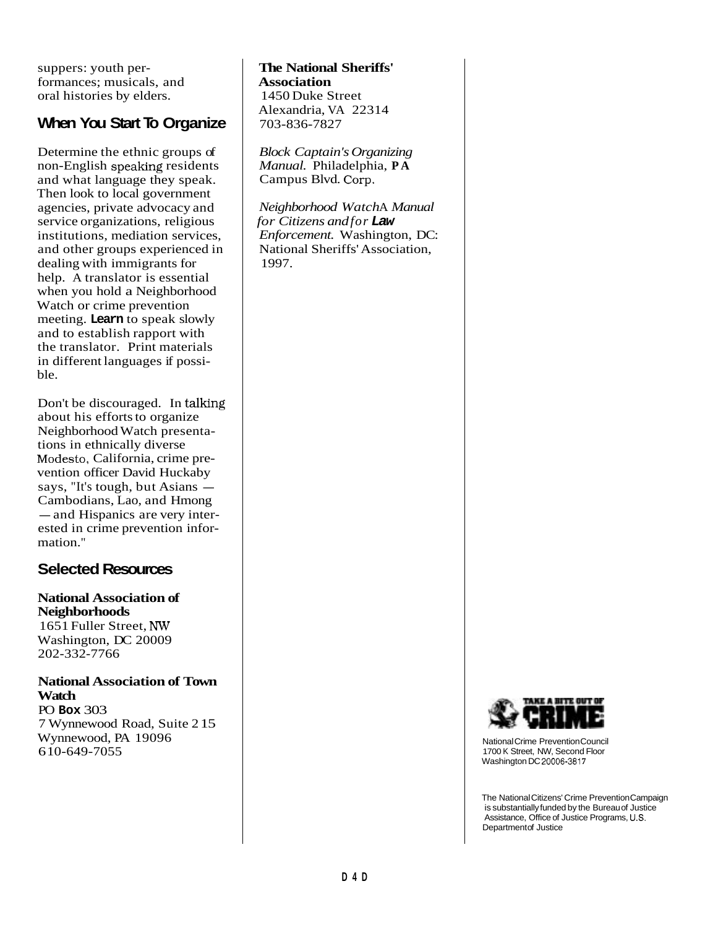suppers: youth performances; musicals, and oral histories by elders.

#### **When You Start To Organize**

Determine the ethnic groups of non-English speaking residents and what language they speak. Then look to local government agencies, private advocacy and service organizations, religious institutions, mediation services, and other groups experienced in dealing with immigrants for help. A translator is essential when you hold a Neighborhood Watch or crime prevention meeting. **Learn** to speak slowly and to establish rapport with the translator. Print materials in different languages if possible.

Don't be discouraged. In talking about his efforts to organize Neighborhood Watch presentations in ethnically diverse Modesto, California, crime prevention officer David Huckaby says, "It's tough, but Asians  $-$ Cambodians, Lao, and Hmong - and Hispanics are very interested in crime prevention information."

#### **Selected Resources**

**National Association of Neighborhoods** 1651 Fuller Street, Washington, DC 20009 202-332-7766

**National Association of Town Watch**

PO **Box** 303 7 Wynnewood Road, Suite 215 Wynnewood, PA 19096 610-649-7055

**The National Sheriffs' Association** 1450 Duke Street Alexandria, VA 22314 703-836-7827

*Block Captain's Organizing Manual.* Philadelphia, **P A** Campus Blvd.

*Neighborhood Watch*A *Manual for Citizens andfor Law Enforcement.* Washington, DC: National Sheriffs' Association, 1997.



NationalCrime Prevention Council 1700 K Street, NW, Second Floor Washington DC 20006-3817

The National Citizens' Crime Prevention Campaign is substantially funded by the Bureau of Justice Assistance, Office of Justice Programs, U.S. Departmentof Justice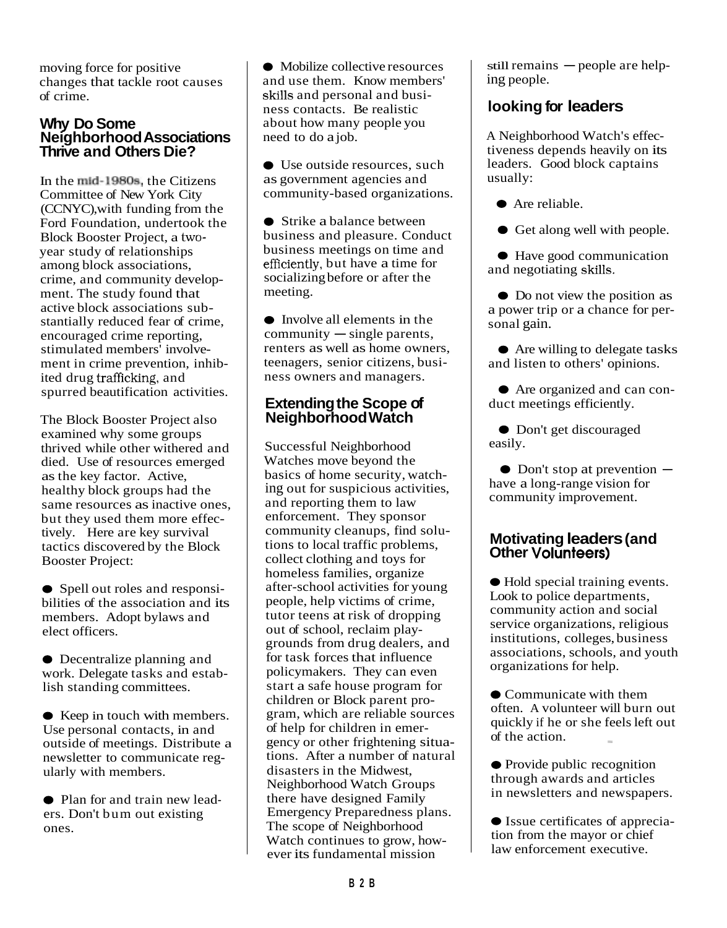moving force for positive changes that tackle root causes of crime.

#### **Why Do Some NeighborhoodAssociations Thrive and Others Die?**

In the mid-1980s, the Citizens Committee of New York City (CCNYC),with funding from the Ford Foundation, undertook the Block Booster Project, a twoyear study of relationships among block associations, crime, and community development. The study found that active block associations substantially reduced fear of crime, encouraged crime reporting, stimulated members' involvement in crime prevention, inhibited drug trafficking, and spurred beautification activities.

The Block Booster Project also examined why some groups thrived while other withered and died. Use of resources emerged asthe key factor. Active, healthy block groups had the same resources as inactive ones, but they used them more effectively. Here are key survival tactics discovered by the Block Booster Project:

• Spell out roles and responsibilities of the association and its members. Adopt bylaws and elect officers.

Decentralize planning and work. Delegate tasks and establish standing committees.

● Keep in touch with members. Use personal contacts, in and outside of meetings. Distribute a newsletter to communicate regularly with members.

• Plan for and train new leaders. Don't bum out existing ones.

• Mobilize collective resources and use them. Know members' skills and personal and business contacts. Be realistic about how many people you need to do a job.

● Use outside resources, such as government agencies and community-based organizations.

**Strike a balance between** business and pleasure. Conduct business meetings on time and efficiently, but have a time for socializing before or after the meeting.

Involve all elements in the  $commuity$  -single parents, renters as well as home owners, teenagers, senior citizens, business owners and managers.

#### **Extending the Scope of Neighborhood Watch**

Successful Neighborhood Watches move beyond the basics of home security, watching out for suspicious activities, and reporting them to law enforcement. They sponsor community cleanups, find solutions to local traffic problems, collect clothing and toys for homeless families, organize after-school activities for young people, help victims of crime, tutor teens at risk of dropping out of school, reclaim playgrounds from drug dealers, and for task forces that influence policymakers. They can even start a safe house program for children or Block parent program, which are reliable sources of help for children in emergency or other frightening situations. After a number of natural disasters in the Midwest, Neighborhood Watch Groups there have designed Family Emergency Preparedness plans. The scope of Neighborhood Watch continues to grow, however its fundamental mission

 $still remains - people are help$ ing people.

#### **looking for leaders**

A Neighborhood Watch's effectiveness depends heavily on its leaders. Good block captains usually:

● Are reliable.

Get along well with people.

● Have good communication and negotiating

• Do not view the position as a power trip or a chance for personal gain.

**●** Are willing to delegate tasks and listen to others' opinions.

Are organized and can conduct meetings efficiently.

• Don't get discouraged easily.

 $\bullet$  Don't stop at prevention  $$ have a long-range vision for community improvement.

## **Motivating leaders(and Other**

Hold special training events. Look to police departments, community action and social service organizations, religious institutions, colleges, business associations, schools, and youth organizations for help.

• Communicate with them often. A volunteer will burn out quickly if he or she feels left out of the action.

• Provide public recognition through awards and articles in newsletters and newspapers.

Issue certificates of appreciation from the mayor or chief law enforcement executive.